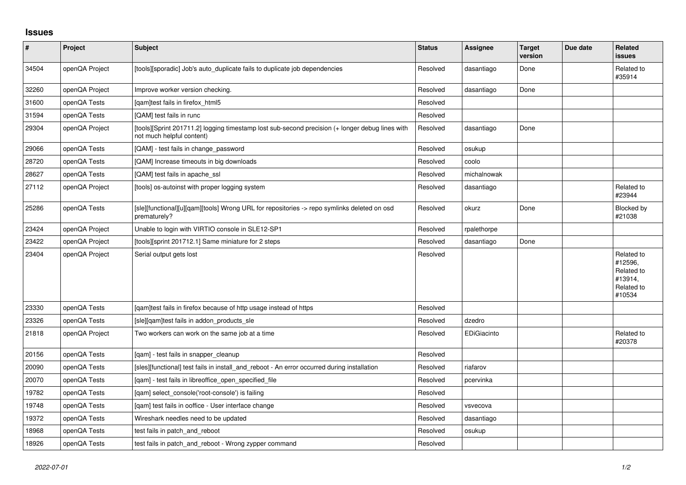## **Issues**

| $\vert$ # | Project        | <b>Subject</b>                                                                                                               | <b>Status</b> | <b>Assignee</b> | <b>Target</b><br>version | Due date | Related<br><b>issues</b>                                               |
|-----------|----------------|------------------------------------------------------------------------------------------------------------------------------|---------------|-----------------|--------------------------|----------|------------------------------------------------------------------------|
| 34504     | openQA Project | [tools][sporadic] Job's auto duplicate fails to duplicate job dependencies                                                   | Resolved      | dasantiago      | Done                     |          | Related to<br>#35914                                                   |
| 32260     | openQA Project | Improve worker version checking.                                                                                             | Resolved      | dasantiago      | Done                     |          |                                                                        |
| 31600     | openQA Tests   | [gam]test fails in firefox html5                                                                                             | Resolved      |                 |                          |          |                                                                        |
| 31594     | openQA Tests   | [QAM] test fails in runc                                                                                                     | Resolved      |                 |                          |          |                                                                        |
| 29304     | openQA Project | [tools][Sprint 201711.2] logging timestamp lost sub-second precision (+ longer debug lines with<br>not much helpful content) | Resolved      | dasantiago      | Done                     |          |                                                                        |
| 29066     | openQA Tests   | [QAM] - test fails in change password                                                                                        | Resolved      | osukup          |                          |          |                                                                        |
| 28720     | openQA Tests   | [QAM] Increase timeouts in big downloads                                                                                     | Resolved      | coolo           |                          |          |                                                                        |
| 28627     | openQA Tests   | [QAM] test fails in apache ssl                                                                                               | Resolved      | michalnowak     |                          |          |                                                                        |
| 27112     | openQA Project | [tools] os-autoinst with proper logging system                                                                               | Resolved      | dasantiago      |                          |          | Related to<br>#23944                                                   |
| 25286     | openQA Tests   | [sle][functional][u][qam][tools] Wrong URL for repositories -> repo symlinks deleted on osd<br>prematurely?                  | Resolved      | okurz           | Done                     |          | Blocked by<br>#21038                                                   |
| 23424     | openQA Project | Unable to login with VIRTIO console in SLE12-SP1                                                                             | Resolved      | rpalethorpe     |                          |          |                                                                        |
| 23422     | openQA Project | [tools][sprint 201712.1] Same miniature for 2 steps                                                                          | Resolved      | dasantiago      | Done                     |          |                                                                        |
| 23404     | openQA Project | Serial output gets lost                                                                                                      | Resolved      |                 |                          |          | Related to<br>#12596,<br>Related to<br>#13914,<br>Related to<br>#10534 |
| 23330     | openQA Tests   | [gam]test fails in firefox because of http usage instead of https                                                            | Resolved      |                 |                          |          |                                                                        |
| 23326     | openQA Tests   | [sle][qam]test fails in addon_products_sle                                                                                   | Resolved      | dzedro          |                          |          |                                                                        |
| 21818     | openQA Project | Two workers can work on the same job at a time                                                                               | Resolved      | EDiGiacinto     |                          |          | Related to<br>#20378                                                   |
| 20156     | openQA Tests   | [qam] - test fails in snapper_cleanup                                                                                        | Resolved      |                 |                          |          |                                                                        |
| 20090     | openQA Tests   | [sles][functional] test fails in install and reboot - An error occurred during installation                                  | Resolved      | riafarov        |                          |          |                                                                        |
| 20070     | openQA Tests   | [qam] - test fails in libreoffice_open_specified_file                                                                        | Resolved      | pcervinka       |                          |          |                                                                        |
| 19782     | openQA Tests   | [qam] select_console('root-console') is failing                                                                              | Resolved      |                 |                          |          |                                                                        |
| 19748     | openQA Tests   | [gam] test fails in ooffice - User interface change                                                                          | Resolved      | vsvecova        |                          |          |                                                                        |
| 19372     | openQA Tests   | Wireshark needles need to be updated                                                                                         | Resolved      | dasantiago      |                          |          |                                                                        |
| 18968     | openQA Tests   | test fails in patch_and_reboot                                                                                               | Resolved      | osukup          |                          |          |                                                                        |
| 18926     | openQA Tests   | test fails in patch and reboot - Wrong zypper command                                                                        | Resolved      |                 |                          |          |                                                                        |